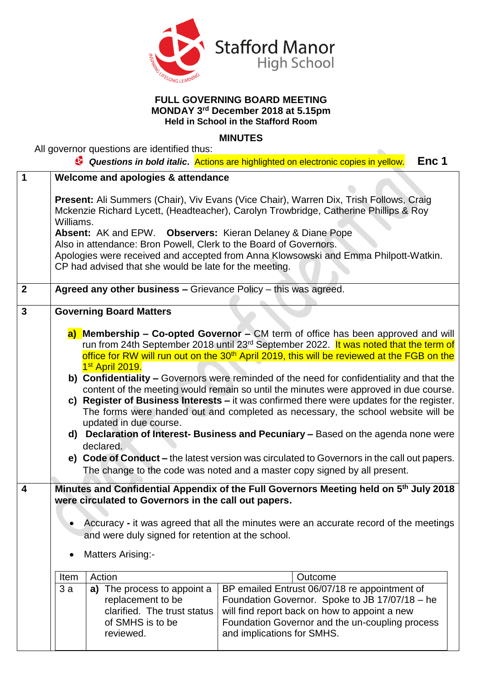

## **FULL GOVERNING BOARD MEETING MONDAY 3 rd December 2018 at 5.15pm Held in School in the Stafford Room**

## **MINUTES**

 $\blacksquare$ 

All governor questions are identified thus:

|                                                                                                                                                                                                                                                                                                                                                                                                                                                                                        |                                                                                                        |                                                                                                          | Enc 1                                                                                                                                                                                                                                                                                                                                                                                                                                |
|----------------------------------------------------------------------------------------------------------------------------------------------------------------------------------------------------------------------------------------------------------------------------------------------------------------------------------------------------------------------------------------------------------------------------------------------------------------------------------------|--------------------------------------------------------------------------------------------------------|----------------------------------------------------------------------------------------------------------|--------------------------------------------------------------------------------------------------------------------------------------------------------------------------------------------------------------------------------------------------------------------------------------------------------------------------------------------------------------------------------------------------------------------------------------|
|                                                                                                                                                                                                                                                                                                                                                                                                                                                                                        |                                                                                                        |                                                                                                          |                                                                                                                                                                                                                                                                                                                                                                                                                                      |
| <b>Present:</b> Ali Summers (Chair), Viv Evans (Vice Chair), Warren Dix, Trish Follows, Craig<br>Mckenzie Richard Lycett, (Headteacher), Carolyn Trowbridge, Catherine Phillips & Roy<br>Williams.<br>Absent: AK and EPW. Observers: Kieran Delaney & Diane Pope<br>Also in attendance: Bron Powell, Clerk to the Board of Governors.<br>Apologies were received and accepted from Anna Klowsowski and Emma Philpott-Watkin.<br>CP had advised that she would be late for the meeting. |                                                                                                        |                                                                                                          |                                                                                                                                                                                                                                                                                                                                                                                                                                      |
| Agreed any other business - Grievance Policy - this was agreed.                                                                                                                                                                                                                                                                                                                                                                                                                        |                                                                                                        |                                                                                                          |                                                                                                                                                                                                                                                                                                                                                                                                                                      |
| <b>Governing Board Matters</b>                                                                                                                                                                                                                                                                                                                                                                                                                                                         |                                                                                                        |                                                                                                          |                                                                                                                                                                                                                                                                                                                                                                                                                                      |
| a) Membership – Co-opted Governor – CM term of office has been approved and will<br>run from 24th September 2018 until 23 <sup>rd</sup> September 2022. It was noted that the term of<br>office for RW will run out on the 30 <sup>th</sup> April 2019, this will be reviewed at the FGB on the                                                                                                                                                                                        |                                                                                                        |                                                                                                          |                                                                                                                                                                                                                                                                                                                                                                                                                                      |
| b) Confidentiality - Governors were reminded of the need for confidentiality and that the                                                                                                                                                                                                                                                                                                                                                                                              |                                                                                                        |                                                                                                          |                                                                                                                                                                                                                                                                                                                                                                                                                                      |
| content of the meeting would remain so until the minutes were approved in due course.                                                                                                                                                                                                                                                                                                                                                                                                  |                                                                                                        |                                                                                                          |                                                                                                                                                                                                                                                                                                                                                                                                                                      |
| The forms were handed out and completed as necessary, the school website will be                                                                                                                                                                                                                                                                                                                                                                                                       |                                                                                                        |                                                                                                          |                                                                                                                                                                                                                                                                                                                                                                                                                                      |
| d) Declaration of Interest- Business and Pecuniary - Based on the agenda none were                                                                                                                                                                                                                                                                                                                                                                                                     |                                                                                                        |                                                                                                          |                                                                                                                                                                                                                                                                                                                                                                                                                                      |
| e) Code of Conduct – the latest version was circulated to Governors in the call out papers.<br>The change to the code was noted and a master copy signed by all present.                                                                                                                                                                                                                                                                                                               |                                                                                                        |                                                                                                          |                                                                                                                                                                                                                                                                                                                                                                                                                                      |
| Minutes and Confidential Appendix of the Full Governors Meeting held on 5th July 2018<br>were circulated to Governors in the call out papers.                                                                                                                                                                                                                                                                                                                                          |                                                                                                        |                                                                                                          |                                                                                                                                                                                                                                                                                                                                                                                                                                      |
|                                                                                                                                                                                                                                                                                                                                                                                                                                                                                        |                                                                                                        |                                                                                                          |                                                                                                                                                                                                                                                                                                                                                                                                                                      |
| and were duly signed for retention at the school.                                                                                                                                                                                                                                                                                                                                                                                                                                      |                                                                                                        |                                                                                                          |                                                                                                                                                                                                                                                                                                                                                                                                                                      |
| <b>Matters Arising:-</b><br>٠                                                                                                                                                                                                                                                                                                                                                                                                                                                          |                                                                                                        |                                                                                                          |                                                                                                                                                                                                                                                                                                                                                                                                                                      |
| Item                                                                                                                                                                                                                                                                                                                                                                                                                                                                                   | Action                                                                                                 | Outcome                                                                                                  |                                                                                                                                                                                                                                                                                                                                                                                                                                      |
| 3a                                                                                                                                                                                                                                                                                                                                                                                                                                                                                     | The process to appoint a<br>a)<br>replacement to be<br>clarified. The trust status<br>of SMHS is to be | Foundation Governor and the un-coupling process                                                          |                                                                                                                                                                                                                                                                                                                                                                                                                                      |
|                                                                                                                                                                                                                                                                                                                                                                                                                                                                                        |                                                                                                        | Welcome and apologies & attendance<br>1 <sup>st</sup> April 2019.<br>updated in due course.<br>declared. | <b>C</b> Questions in bold italic. Actions are highlighted on electronic copies in yellow.<br>c) Register of Business Interests - it was confirmed there were updates for the register.<br>Accuracy - it was agreed that all the minutes were an accurate record of the meetings<br>BP emailed Entrust 06/07/18 re appointment of<br>Foundation Governor. Spoke to JB 17/07/18 - he<br>will find report back on how to appoint a new |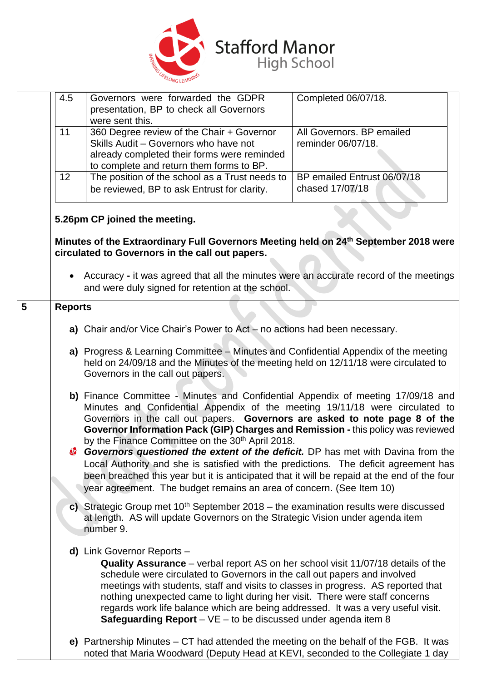

|                | 4.5                                                                                                                                                                                                                                                                                                                                                                                                                                                                                                                                                                                                                                                                                                       | Governors were forwarded the GDPR<br>presentation, BP to check all Governors<br>were sent this.                                                                                                                                                             | Completed 06/07/18.                             |  |
|----------------|-----------------------------------------------------------------------------------------------------------------------------------------------------------------------------------------------------------------------------------------------------------------------------------------------------------------------------------------------------------------------------------------------------------------------------------------------------------------------------------------------------------------------------------------------------------------------------------------------------------------------------------------------------------------------------------------------------------|-------------------------------------------------------------------------------------------------------------------------------------------------------------------------------------------------------------------------------------------------------------|-------------------------------------------------|--|
|                | 11                                                                                                                                                                                                                                                                                                                                                                                                                                                                                                                                                                                                                                                                                                        | 360 Degree review of the Chair + Governor<br>Skills Audit - Governors who have not<br>already completed their forms were reminded<br>to complete and return them forms to BP.                                                                               | All Governors, BP emailed<br>reminder 06/07/18. |  |
|                | 12                                                                                                                                                                                                                                                                                                                                                                                                                                                                                                                                                                                                                                                                                                        | The position of the school as a Trust needs to<br>be reviewed, BP to ask Entrust for clarity.                                                                                                                                                               | BP emailed Entrust 06/07/18<br>chased 17/07/18  |  |
|                |                                                                                                                                                                                                                                                                                                                                                                                                                                                                                                                                                                                                                                                                                                           | 5.26pm CP joined the meeting.                                                                                                                                                                                                                               |                                                 |  |
|                |                                                                                                                                                                                                                                                                                                                                                                                                                                                                                                                                                                                                                                                                                                           | Minutes of the Extraordinary Full Governors Meeting held on 24th September 2018 were<br>circulated to Governors in the call out papers.                                                                                                                     |                                                 |  |
|                |                                                                                                                                                                                                                                                                                                                                                                                                                                                                                                                                                                                                                                                                                                           | • Accuracy - it was agreed that all the minutes were an accurate record of the meetings<br>and were duly signed for retention at the school.                                                                                                                |                                                 |  |
| $5\phantom{1}$ | <b>Reports</b>                                                                                                                                                                                                                                                                                                                                                                                                                                                                                                                                                                                                                                                                                            |                                                                                                                                                                                                                                                             |                                                 |  |
|                |                                                                                                                                                                                                                                                                                                                                                                                                                                                                                                                                                                                                                                                                                                           | a) Chair and/or Vice Chair's Power to Act $-$ no actions had been necessary.                                                                                                                                                                                |                                                 |  |
|                | a) Progress & Learning Committee - Minutes and Confidential Appendix of the meeting<br>held on 24/09/18 and the Minutes of the meeting held on 12/11/18 were circulated to<br>Governors in the call out papers.<br>b) Finance Committee - Minutes and Confidential Appendix of meeting 17/09/18 and<br>Minutes and Confidential Appendix of the meeting 19/11/18 were circulated to<br>Governors in the call out papers. Governors are asked to note page 8 of the<br>Governor Information Pack (GIP) Charges and Remission - this policy was reviewed<br>by the Finance Committee on the 30 <sup>th</sup> April 2018.<br>Governors questioned the extent of the deficit. DP has met with Davina from the |                                                                                                                                                                                                                                                             |                                                 |  |
|                |                                                                                                                                                                                                                                                                                                                                                                                                                                                                                                                                                                                                                                                                                                           |                                                                                                                                                                                                                                                             |                                                 |  |
|                |                                                                                                                                                                                                                                                                                                                                                                                                                                                                                                                                                                                                                                                                                                           | Local Authority and she is satisfied with the predictions. The deficit agreement has<br>been breached this year but it is anticipated that it will be repaid at the end of the four<br>year agreement. The budget remains an area of concern. (See Item 10) |                                                 |  |
|                | c) Strategic Group met $10th$ September 2018 – the examination results were discussed<br>at length. AS will update Governors on the Strategic Vision under agenda item<br>number 9.                                                                                                                                                                                                                                                                                                                                                                                                                                                                                                                       |                                                                                                                                                                                                                                                             |                                                 |  |
|                | d) Link Governor Reports -<br>Quality Assurance – verbal report AS on her school visit 11/07/18 details of the<br>schedule were circulated to Governors in the call out papers and involved<br>meetings with students, staff and visits to classes in progress. AS reported that<br>nothing unexpected came to light during her visit. There were staff concerns<br>regards work life balance which are being addressed. It was a very useful visit.<br><b>Safeguarding Report</b> $-$ VE $-$ to be discussed under agenda item 8                                                                                                                                                                         |                                                                                                                                                                                                                                                             |                                                 |  |
|                |                                                                                                                                                                                                                                                                                                                                                                                                                                                                                                                                                                                                                                                                                                           | e) Partnership Minutes $-$ CT had attended the meeting on the behalf of the FGB. It was<br>noted that Maria Woodward (Deputy Head at KEVI, seconded to the Collegiate 1 day                                                                                 |                                                 |  |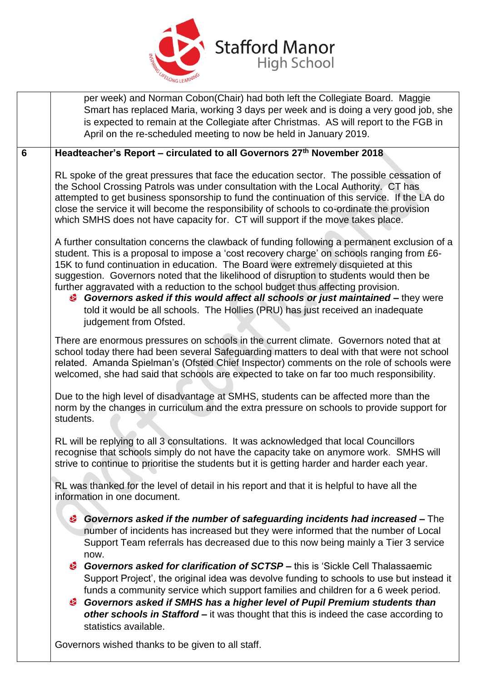

|                                                                                                                             | per week) and Norman Cobon(Chair) had both left the Collegiate Board. Maggie<br>Smart has replaced Maria, working 3 days per week and is doing a very good job, she<br>is expected to remain at the Collegiate after Christmas. AS will report to the FGB in<br>April on the re-scheduled meeting to now be held in January 2019.                                                                                                                                                                                                                                                                                                                                                                                                     |
|-----------------------------------------------------------------------------------------------------------------------------|---------------------------------------------------------------------------------------------------------------------------------------------------------------------------------------------------------------------------------------------------------------------------------------------------------------------------------------------------------------------------------------------------------------------------------------------------------------------------------------------------------------------------------------------------------------------------------------------------------------------------------------------------------------------------------------------------------------------------------------|
| $\overline{6}$                                                                                                              | Headteacher's Report - circulated to all Governors 27th November 2018                                                                                                                                                                                                                                                                                                                                                                                                                                                                                                                                                                                                                                                                 |
|                                                                                                                             | RL spoke of the great pressures that face the education sector. The possible cessation of<br>the School Crossing Patrols was under consultation with the Local Authority. CT has<br>attempted to get business sponsorship to fund the continuation of this service. If the LA do<br>close the service it will become the responsibility of schools to co-ordinate the provision<br>which SMHS does not have capacity for. CT will support if the move takes place.                                                                                                                                                                                                                                                                    |
|                                                                                                                             | A further consultation concerns the clawback of funding following a permanent exclusion of a<br>student. This is a proposal to impose a 'cost recovery charge' on schools ranging from £6-<br>15K to fund continuation in education. The Board were extremely disquieted at this<br>suggestion. Governors noted that the likelihood of disruption to students would then be<br>further aggravated with a reduction to the school budget thus affecting provision.<br>Governors asked if this would affect all schools or just maintained – they were<br>told it would be all schools. The Hollies (PRU) has just received an inadequate<br>judgement from Ofsted.                                                                     |
|                                                                                                                             | There are enormous pressures on schools in the current climate. Governors noted that at<br>school today there had been several Safeguarding matters to deal with that were not school<br>related. Amanda Spielman's (Ofsted Chief Inspector) comments on the role of schools were<br>welcomed, she had said that schools are expected to take on far too much responsibility.                                                                                                                                                                                                                                                                                                                                                         |
|                                                                                                                             | Due to the high level of disadvantage at SMHS, students can be affected more than the<br>norm by the changes in curriculum and the extra pressure on schools to provide support for<br>students.                                                                                                                                                                                                                                                                                                                                                                                                                                                                                                                                      |
|                                                                                                                             | RL will be replying to all 3 consultations. It was acknowledged that local Councillors<br>recognise that schools simply do not have the capacity take on anymore work. SMHS will<br>strive to continue to prioritise the students but it is getting harder and harder each year.                                                                                                                                                                                                                                                                                                                                                                                                                                                      |
| RL was thanked for the level of detail in his report and that it is helpful to have all the<br>information in one document. |                                                                                                                                                                                                                                                                                                                                                                                                                                                                                                                                                                                                                                                                                                                                       |
|                                                                                                                             | Governors asked if the number of safeguarding incidents had increased - The<br>⊛<br>number of incidents has increased but they were informed that the number of Local<br>Support Team referrals has decreased due to this now being mainly a Tier 3 service<br>now.<br>Governors asked for clarification of SCTSP – this is 'Sickle Cell Thalassaemic<br>Support Project', the original idea was devolve funding to schools to use but instead it<br>funds a community service which support families and children for a 6 week period.<br>Governors asked if SMHS has a higher level of Pupil Premium students than<br>other schools in Stafford - it was thought that this is indeed the case according to<br>statistics available. |
|                                                                                                                             | Governors wished thanks to be given to all staff.                                                                                                                                                                                                                                                                                                                                                                                                                                                                                                                                                                                                                                                                                     |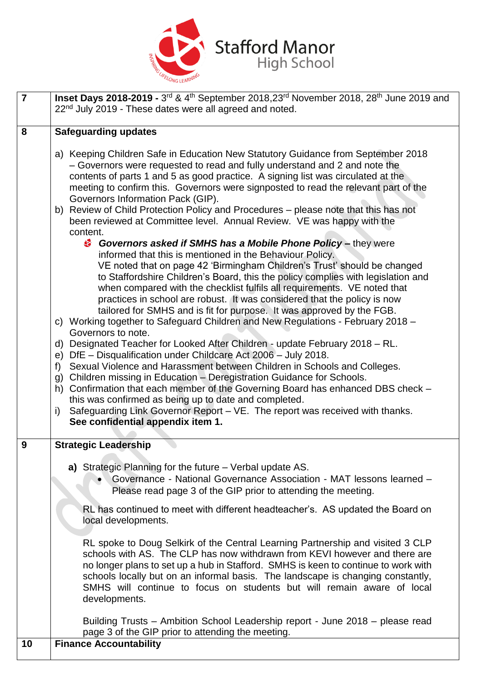

| $\overline{7}$ | Inset Days 2018-2019 - 3rd & 4th September 2018,23rd November 2018, 28th June 2019 and<br>22 <sup>nd</sup> July 2019 - These dates were all agreed and noted.                                                                                                                                                                                                                                                                                                                                                                                                                                                                                                                                                                                                                                                                                                                                                                                                                                                                                                                                                                                                                                                                                                                                                                                                                                                                                                                                                                                                                                                                                                                                                                                                                                                |  |  |
|----------------|--------------------------------------------------------------------------------------------------------------------------------------------------------------------------------------------------------------------------------------------------------------------------------------------------------------------------------------------------------------------------------------------------------------------------------------------------------------------------------------------------------------------------------------------------------------------------------------------------------------------------------------------------------------------------------------------------------------------------------------------------------------------------------------------------------------------------------------------------------------------------------------------------------------------------------------------------------------------------------------------------------------------------------------------------------------------------------------------------------------------------------------------------------------------------------------------------------------------------------------------------------------------------------------------------------------------------------------------------------------------------------------------------------------------------------------------------------------------------------------------------------------------------------------------------------------------------------------------------------------------------------------------------------------------------------------------------------------------------------------------------------------------------------------------------------------|--|--|
| 8              | <b>Safeguarding updates</b>                                                                                                                                                                                                                                                                                                                                                                                                                                                                                                                                                                                                                                                                                                                                                                                                                                                                                                                                                                                                                                                                                                                                                                                                                                                                                                                                                                                                                                                                                                                                                                                                                                                                                                                                                                                  |  |  |
|                | a) Keeping Children Safe in Education New Statutory Guidance from September 2018<br>- Governors were requested to read and fully understand and 2 and note the<br>contents of parts 1 and 5 as good practice. A signing list was circulated at the<br>meeting to confirm this. Governors were signposted to read the relevant part of the<br>Governors Information Pack (GIP).<br>b) Review of Child Protection Policy and Procedures - please note that this has not<br>been reviewed at Committee level. Annual Review. VE was happy with the<br>content.<br>Governors asked if SMHS has a Mobile Phone Policy - they were<br>informed that this is mentioned in the Behaviour Policy.<br>VE noted that on page 42 'Birmingham Children's Trust' should be changed<br>to Staffordshire Children's Board, this the policy complies with legislation and<br>when compared with the checklist fulfils all requirements. VE noted that<br>practices in school are robust. It was considered that the policy is now<br>tailored for SMHS and is fit for purpose. It was approved by the FGB.<br>c) Working together to Safeguard Children and New Regulations - February 2018 -<br>Governors to note.<br>d) Designated Teacher for Looked After Children - update February 2018 - RL.<br>DfE - Disqualification under Childcare Act 2006 - July 2018.<br>e)<br>Sexual Violence and Harassment between Children in Schools and Colleges.<br>f<br>Children missing in Education - Deregistration Guidance for Schools.<br>g)<br>Confirmation that each member of the Governing Board has enhanced DBS check -<br>h)<br>this was confirmed as being up to date and completed.<br>Safeguarding Link Governor Report - VE. The report was received with thanks.<br>$\mathsf{i}$<br>See confidential appendix item 1. |  |  |
| 9              | <b>Strategic Leadership</b>                                                                                                                                                                                                                                                                                                                                                                                                                                                                                                                                                                                                                                                                                                                                                                                                                                                                                                                                                                                                                                                                                                                                                                                                                                                                                                                                                                                                                                                                                                                                                                                                                                                                                                                                                                                  |  |  |
|                | <b>a)</b> Strategic Planning for the future – Verbal update AS.<br>• Governance - National Governance Association - MAT lessons learned -<br>Please read page 3 of the GIP prior to attending the meeting.                                                                                                                                                                                                                                                                                                                                                                                                                                                                                                                                                                                                                                                                                                                                                                                                                                                                                                                                                                                                                                                                                                                                                                                                                                                                                                                                                                                                                                                                                                                                                                                                   |  |  |
|                | RL has continued to meet with different headteacher's. AS updated the Board on<br>local developments.                                                                                                                                                                                                                                                                                                                                                                                                                                                                                                                                                                                                                                                                                                                                                                                                                                                                                                                                                                                                                                                                                                                                                                                                                                                                                                                                                                                                                                                                                                                                                                                                                                                                                                        |  |  |
|                | RL spoke to Doug Selkirk of the Central Learning Partnership and visited 3 CLP<br>schools with AS. The CLP has now withdrawn from KEVI however and there are<br>no longer plans to set up a hub in Stafford. SMHS is keen to continue to work with<br>schools locally but on an informal basis. The landscape is changing constantly,<br>SMHS will continue to focus on students but will remain aware of local<br>developments.                                                                                                                                                                                                                                                                                                                                                                                                                                                                                                                                                                                                                                                                                                                                                                                                                                                                                                                                                                                                                                                                                                                                                                                                                                                                                                                                                                             |  |  |
|                | Building Trusts - Ambition School Leadership report - June 2018 - please read<br>page 3 of the GIP prior to attending the meeting.                                                                                                                                                                                                                                                                                                                                                                                                                                                                                                                                                                                                                                                                                                                                                                                                                                                                                                                                                                                                                                                                                                                                                                                                                                                                                                                                                                                                                                                                                                                                                                                                                                                                           |  |  |
| 10             | <b>Finance Accountability</b>                                                                                                                                                                                                                                                                                                                                                                                                                                                                                                                                                                                                                                                                                                                                                                                                                                                                                                                                                                                                                                                                                                                                                                                                                                                                                                                                                                                                                                                                                                                                                                                                                                                                                                                                                                                |  |  |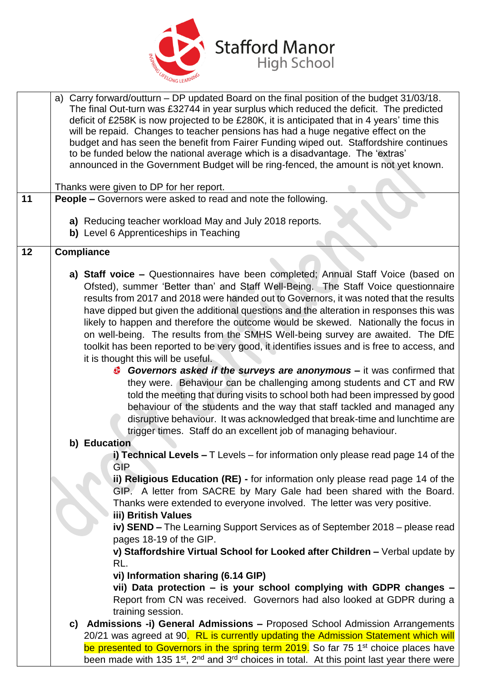

|    | a) Carry forward/outturn - DP updated Board on the final position of the budget 31/03/18.<br>The final Out-turn was £32744 in year surplus which reduced the deficit. The predicted<br>deficit of £258K is now projected to be £280K, it is anticipated that in 4 years' time this<br>will be repaid. Changes to teacher pensions has had a huge negative effect on the<br>budget and has seen the benefit from Fairer Funding wiped out. Staffordshire continues<br>to be funded below the national average which is a disadvantage. The 'extras'<br>announced in the Government Budget will be ring-fenced, the amount is not yet known.                                |
|----|---------------------------------------------------------------------------------------------------------------------------------------------------------------------------------------------------------------------------------------------------------------------------------------------------------------------------------------------------------------------------------------------------------------------------------------------------------------------------------------------------------------------------------------------------------------------------------------------------------------------------------------------------------------------------|
|    | Thanks were given to DP for her report.                                                                                                                                                                                                                                                                                                                                                                                                                                                                                                                                                                                                                                   |
| 11 | People - Governors were asked to read and note the following.                                                                                                                                                                                                                                                                                                                                                                                                                                                                                                                                                                                                             |
|    | a) Reducing teacher workload May and July 2018 reports.                                                                                                                                                                                                                                                                                                                                                                                                                                                                                                                                                                                                                   |
|    | b) Level 6 Apprenticeships in Teaching                                                                                                                                                                                                                                                                                                                                                                                                                                                                                                                                                                                                                                    |
| 12 | <b>Compliance</b>                                                                                                                                                                                                                                                                                                                                                                                                                                                                                                                                                                                                                                                         |
|    | a) Staff voice – Questionnaires have been completed; Annual Staff Voice (based on<br>Ofsted), summer 'Better than' and Staff Well-Being. The Staff Voice questionnaire<br>results from 2017 and 2018 were handed out to Governors, it was noted that the results<br>have dipped but given the additional questions and the alteration in responses this was<br>likely to happen and therefore the outcome would be skewed. Nationally the focus in<br>on well-being. The results from the SMHS Well-being survey are awaited. The DfE<br>toolkit has been reported to be very good, it identifies issues and is free to access, and<br>it is thought this will be useful. |
|    | Governors asked if the surveys are anonymous – it was confirmed that<br>they were. Behaviour can be challenging among students and CT and RW<br>told the meeting that during visits to school both had been impressed by good<br>behaviour of the students and the way that staff tackled and managed any<br>disruptive behaviour. It was acknowledged that break-time and lunchtime are<br>trigger times. Staff do an excellent job of managing behaviour.                                                                                                                                                                                                               |
|    | b) Education                                                                                                                                                                                                                                                                                                                                                                                                                                                                                                                                                                                                                                                              |
|    | i) Technical Levels $-$ T Levels $-$ for information only please read page 14 of the<br><b>GIP</b>                                                                                                                                                                                                                                                                                                                                                                                                                                                                                                                                                                        |
|    | ii) Religious Education (RE) - for information only please read page 14 of the<br>GIP. A letter from SACRE by Mary Gale had been shared with the Board.<br>Thanks were extended to everyone involved. The letter was very positive.<br>iii) British Values                                                                                                                                                                                                                                                                                                                                                                                                                |
|    | iv) SEND - The Learning Support Services as of September 2018 - please read<br>pages 18-19 of the GIP.                                                                                                                                                                                                                                                                                                                                                                                                                                                                                                                                                                    |
|    | v) Staffordshire Virtual School for Looked after Children - Verbal update by<br>RL.                                                                                                                                                                                                                                                                                                                                                                                                                                                                                                                                                                                       |
|    | vi) Information sharing (6.14 GIP)                                                                                                                                                                                                                                                                                                                                                                                                                                                                                                                                                                                                                                        |
|    | vii) Data protection - is your school complying with GDPR changes -<br>Report from CN was received. Governors had also looked at GDPR during a<br>training session.                                                                                                                                                                                                                                                                                                                                                                                                                                                                                                       |
|    | c) Admissions -i) General Admissions - Proposed School Admission Arrangements                                                                                                                                                                                                                                                                                                                                                                                                                                                                                                                                                                                             |
|    | 20/21 was agreed at 90. RL is currently updating the Admission Statement which will                                                                                                                                                                                                                                                                                                                                                                                                                                                                                                                                                                                       |
|    | be presented to Governors in the spring term 2019. So far 75 1 <sup>st</sup> choice places have<br>been made with 135 1 <sup>st</sup> , 2 <sup>nd</sup> and 3 <sup>rd</sup> choices in total. At this point last year there were                                                                                                                                                                                                                                                                                                                                                                                                                                          |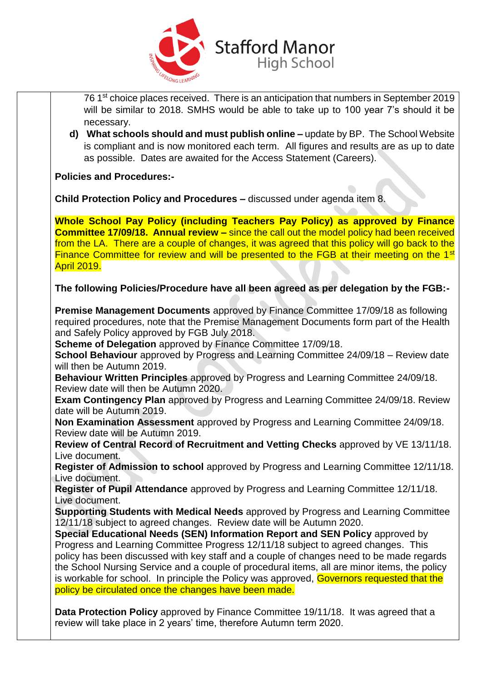

76 1<sup>st</sup> choice places received. There is an anticipation that numbers in September 2019 will be similar to 2018. SMHS would be able to take up to 100 year 7's should it be necessary.

**d) What schools should and must publish online –** update by BP. The School Website is compliant and is now monitored each term. All figures and results are as up to date as possible. Dates are awaited for the Access Statement (Careers).

**Policies and Procedures:-**

**Child Protection Policy and Procedures –** discussed under agenda item 8.

**Whole School Pay Policy (including Teachers Pay Policy) as approved by Finance Committee 17/09/18. Annual review –** since the call out the model policy had been received from the LA. There are a couple of changes, it was agreed that this policy will go back to the Finance Committee for review and will be presented to the FGB at their meeting on the 1<sup>st</sup> April 2019.

## **The following Policies/Procedure have all been agreed as per delegation by the FGB:-**

**Premise Management Documents** approved by Finance Committee 17/09/18 as following required procedures, note that the Premise Management Documents form part of the Health and Safely Policy approved by FGB July 2018.

**Scheme of Delegation** approved by Finance Committee 17/09/18.

**School Behaviour** approved by Progress and Learning Committee 24/09/18 – Review date will then be Autumn 2019.

**Behaviour Written Principles** approved by Progress and Learning Committee 24/09/18. Review date will then be Autumn 2020.

**Exam Contingency Plan** approved by Progress and Learning Committee 24/09/18. Review date will be Autumn 2019.

**Non Examination Assessment** approved by Progress and Learning Committee 24/09/18. Review date will be Autumn 2019.

**Review of Central Record of Recruitment and Vetting Checks** approved by VE 13/11/18. Live document.

**Register of Admission to school** approved by Progress and Learning Committee 12/11/18. Live document.

**Register of Pupil Attendance** approved by Progress and Learning Committee 12/11/18. Live document.

**Supporting Students with Medical Needs** approved by Progress and Learning Committee 12/11/18 subject to agreed changes. Review date will be Autumn 2020.

**Special Educational Needs (SEN) Information Report and SEN Policy** approved by Progress and Learning Committee Progress 12/11/18 subject to agreed changes. This policy has been discussed with key staff and a couple of changes need to be made regards the School Nursing Service and a couple of procedural items, all are minor items, the policy is workable for school. In principle the Policy was approved, Governors requested that the policy be circulated once the changes have been made.

**Data Protection Policy** approved by Finance Committee 19/11/18. It was agreed that a review will take place in 2 years' time, therefore Autumn term 2020.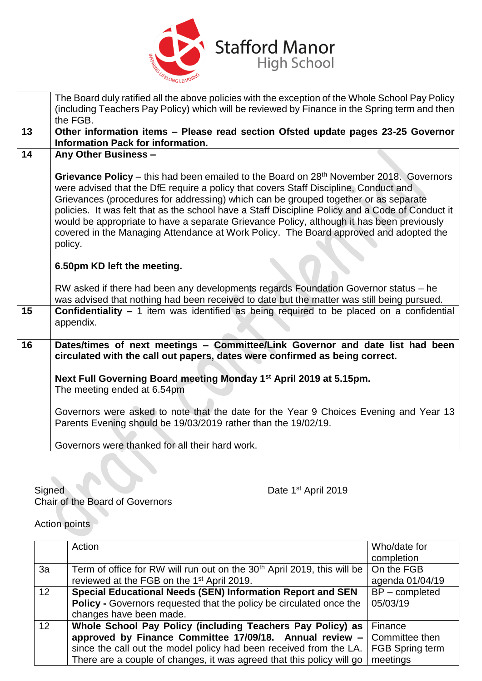

|    | The Board duly ratified all the above policies with the exception of the Whole School Pay Policy<br>(including Teachers Pay Policy) which will be reviewed by Finance in the Spring term and then                                                                                                                                                                                                                                                                                                                                                                                      |  |  |
|----|----------------------------------------------------------------------------------------------------------------------------------------------------------------------------------------------------------------------------------------------------------------------------------------------------------------------------------------------------------------------------------------------------------------------------------------------------------------------------------------------------------------------------------------------------------------------------------------|--|--|
| 13 | the FGB.                                                                                                                                                                                                                                                                                                                                                                                                                                                                                                                                                                               |  |  |
|    | Other information items - Please read section Ofsted update pages 23-25 Governor<br><b>Information Pack for information.</b>                                                                                                                                                                                                                                                                                                                                                                                                                                                           |  |  |
| 14 | Any Other Business -                                                                                                                                                                                                                                                                                                                                                                                                                                                                                                                                                                   |  |  |
|    | Grievance Policy – this had been emailed to the Board on 28 <sup>th</sup> November 2018. Governors<br>were advised that the DfE require a policy that covers Staff Discipline, Conduct and<br>Grievances (procedures for addressing) which can be grouped together or as separate<br>policies. It was felt that as the school have a Staff Discipline Policy and a Code of Conduct it<br>would be appropriate to have a separate Grievance Policy, although it has been previously<br>covered in the Managing Attendance at Work Policy. The Board approved and adopted the<br>policy. |  |  |
|    | 6.50pm KD left the meeting.                                                                                                                                                                                                                                                                                                                                                                                                                                                                                                                                                            |  |  |
|    | RW asked if there had been any developments regards Foundation Governor status - he<br>was advised that nothing had been received to date but the matter was still being pursued.                                                                                                                                                                                                                                                                                                                                                                                                      |  |  |
| 15 | <b>Confidentiality - 1</b> item was identified as being required to be placed on a confidential<br>appendix.                                                                                                                                                                                                                                                                                                                                                                                                                                                                           |  |  |
| 16 | Dates/times of next meetings - Committee/Link Governor and date list had been<br>circulated with the call out papers, dates were confirmed as being correct.                                                                                                                                                                                                                                                                                                                                                                                                                           |  |  |
|    | Next Full Governing Board meeting Monday 1 <sup>st</sup> April 2019 at 5.15pm.<br>The meeting ended at 6.54pm                                                                                                                                                                                                                                                                                                                                                                                                                                                                          |  |  |
|    | Governors were asked to note that the date for the Year 9 Choices Evening and Year 13<br>Parents Evening should be 19/03/2019 rather than the 19/02/19.                                                                                                                                                                                                                                                                                                                                                                                                                                |  |  |
|    | Governors were thanked for all their hard work.                                                                                                                                                                                                                                                                                                                                                                                                                                                                                                                                        |  |  |

Signed Date 1st April 2019 Chair of the Board of Governors

Action points

|                 | Action                                                                                       | Who/date for     |
|-----------------|----------------------------------------------------------------------------------------------|------------------|
|                 |                                                                                              | completion       |
| 3a              | Term of office for RW will run out on the $30th$ April 2019, this will be $\vert$ On the FGB |                  |
|                 | reviewed at the FGB on the 1 <sup>st</sup> April 2019.                                       | agenda 01/04/19  |
| 12 <sup>2</sup> | <b>Special Educational Needs (SEN) Information Report and SEN</b>                            | $BP$ – completed |
|                 | <b>Policy - Governors requested that the policy be circulated once the</b>                   | 05/03/19         |
|                 | changes have been made.                                                                      |                  |
| 12              | Whole School Pay Policy (including Teachers Pay Policy) as Finance                           |                  |
|                 | approved by Finance Committee 17/09/18. Annual review $-$ Committee then                     |                  |
|                 | since the call out the model policy had been received from the LA.   FGB Spring term         |                  |
|                 | There are a couple of changes, it was agreed that this policy will go $\vert$ meetings       |                  |